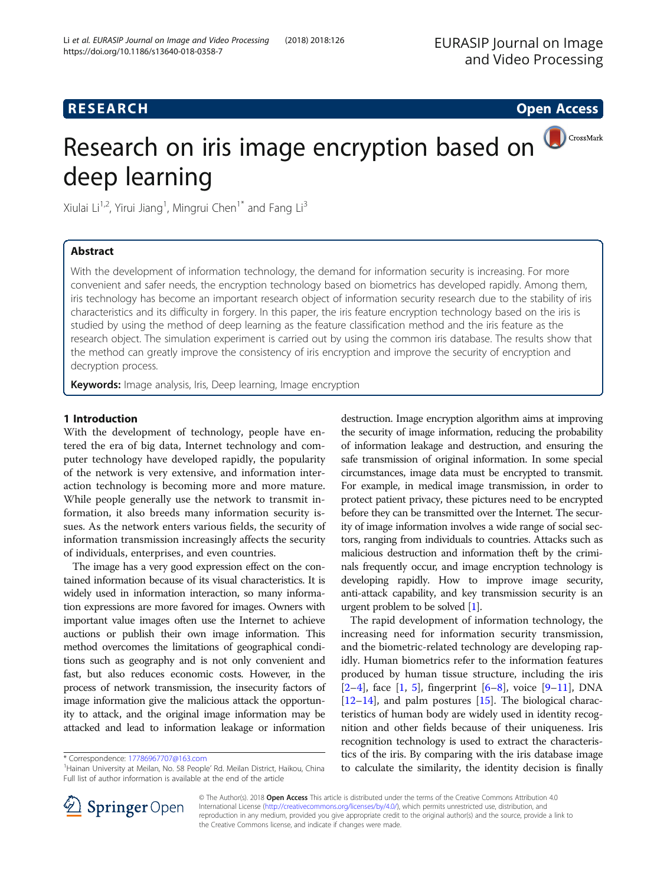# **RESEARCH CHE Open Access**

# CrossMark Research on iris image encryption based on deep learning

Xiulai Li<sup>1,2</sup>, Yirui Jiang<sup>1</sup>, Mingrui Chen<sup>1\*</sup> and Fang Li<sup>3</sup>

# Abstract

With the development of information technology, the demand for information security is increasing. For more convenient and safer needs, the encryption technology based on biometrics has developed rapidly. Among them, iris technology has become an important research object of information security research due to the stability of iris characteristics and its difficulty in forgery. In this paper, the iris feature encryption technology based on the iris is studied by using the method of deep learning as the feature classification method and the iris feature as the research object. The simulation experiment is carried out by using the common iris database. The results show that the method can greatly improve the consistency of iris encryption and improve the security of encryption and decryption process.

Keywords: Image analysis, Iris, Deep learning, Image encryption

# 1 Introduction

With the development of technology, people have entered the era of big data, Internet technology and computer technology have developed rapidly, the popularity of the network is very extensive, and information interaction technology is becoming more and more mature. While people generally use the network to transmit information, it also breeds many information security issues. As the network enters various fields, the security of information transmission increasingly affects the security of individuals, enterprises, and even countries.

The image has a very good expression effect on the contained information because of its visual characteristics. It is widely used in information interaction, so many information expressions are more favored for images. Owners with important value images often use the Internet to achieve auctions or publish their own image information. This method overcomes the limitations of geographical conditions such as geography and is not only convenient and fast, but also reduces economic costs. However, in the process of network transmission, the insecurity factors of image information give the malicious attack the opportunity to attack, and the original image information may be attacked and lead to information leakage or information

destruction. Image encryption algorithm aims at improving the security of image information, reducing the probability of information leakage and destruction, and ensuring the safe transmission of original information. In some special circumstances, image data must be encrypted to transmit. For example, in medical image transmission, in order to protect patient privacy, these pictures need to be encrypted before they can be transmitted over the Internet. The security of image information involves a wide range of social sectors, ranging from individuals to countries. Attacks such as malicious destruction and information theft by the criminals frequently occur, and image encryption technology is developing rapidly. How to improve image security, anti-attack capability, and key transmission security is an urgent problem to be solved [\[1\]](#page-9-0).

The rapid development of information technology, the increasing need for information security transmission, and the biometric-related technology are developing rapidly. Human biometrics refer to the information features produced by human tissue structure, including the iris [[2](#page-9-0)–[4\]](#page-9-0), face  $[1, 5]$  $[1, 5]$  $[1, 5]$  $[1, 5]$ , fingerprint  $[6-8]$  $[6-8]$  $[6-8]$ , voice  $[9-11]$  $[9-11]$  $[9-11]$  $[9-11]$ , DNA  $[12–14]$  $[12–14]$  $[12–14]$  $[12–14]$  $[12–14]$ , and palm postures  $[15]$  $[15]$ . The biological characteristics of human body are widely used in identity recognition and other fields because of their uniqueness. Iris recognition technology is used to extract the characteristics of the iris. By comparing with the iris database image to calculate the similarity, the identity decision is finally



© The Author(s). 2018 Open Access This article is distributed under the terms of the Creative Commons Attribution 4.0 International License ([http://creativecommons.org/licenses/by/4.0/\)](http://creativecommons.org/licenses/by/4.0/), which permits unrestricted use, distribution, and reproduction in any medium, provided you give appropriate credit to the original author(s) and the source, provide a link to the Creative Commons license, and indicate if changes were made.

<sup>\*</sup> Correspondence: [17786967707@163.com](mailto:17786967707@163.com) <sup>1</sup>

<sup>&</sup>lt;sup>1</sup> Hainan University at Meilan, No. 58 People' Rd. Meilan District, Haikou, China Full list of author information is available at the end of the article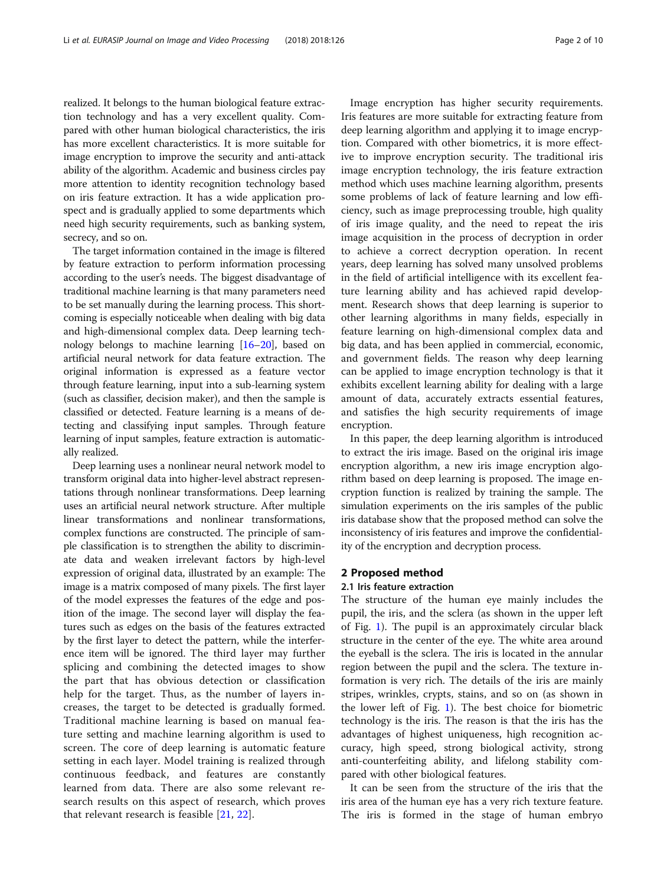realized. It belongs to the human biological feature extraction technology and has a very excellent quality. Compared with other human biological characteristics, the iris has more excellent characteristics. It is more suitable for image encryption to improve the security and anti-attack ability of the algorithm. Academic and business circles pay more attention to identity recognition technology based on iris feature extraction. It has a wide application prospect and is gradually applied to some departments which need high security requirements, such as banking system, secrecy, and so on.

The target information contained in the image is filtered by feature extraction to perform information processing according to the user's needs. The biggest disadvantage of traditional machine learning is that many parameters need to be set manually during the learning process. This shortcoming is especially noticeable when dealing with big data and high-dimensional complex data. Deep learning technology belongs to machine learning [\[16](#page-9-0)–[20](#page-9-0)], based on artificial neural network for data feature extraction. The original information is expressed as a feature vector through feature learning, input into a sub-learning system (such as classifier, decision maker), and then the sample is classified or detected. Feature learning is a means of detecting and classifying input samples. Through feature learning of input samples, feature extraction is automatically realized.

Deep learning uses a nonlinear neural network model to transform original data into higher-level abstract representations through nonlinear transformations. Deep learning uses an artificial neural network structure. After multiple linear transformations and nonlinear transformations, complex functions are constructed. The principle of sample classification is to strengthen the ability to discriminate data and weaken irrelevant factors by high-level expression of original data, illustrated by an example: The image is a matrix composed of many pixels. The first layer of the model expresses the features of the edge and position of the image. The second layer will display the features such as edges on the basis of the features extracted by the first layer to detect the pattern, while the interference item will be ignored. The third layer may further splicing and combining the detected images to show the part that has obvious detection or classification help for the target. Thus, as the number of layers increases, the target to be detected is gradually formed. Traditional machine learning is based on manual feature setting and machine learning algorithm is used to screen. The core of deep learning is automatic feature setting in each layer. Model training is realized through continuous feedback, and features are constantly learned from data. There are also some relevant research results on this aspect of research, which proves that relevant research is feasible [[21,](#page-9-0) [22\]](#page-9-0).

Image encryption has higher security requirements. Iris features are more suitable for extracting feature from deep learning algorithm and applying it to image encryption. Compared with other biometrics, it is more effective to improve encryption security. The traditional iris image encryption technology, the iris feature extraction method which uses machine learning algorithm, presents some problems of lack of feature learning and low efficiency, such as image preprocessing trouble, high quality of iris image quality, and the need to repeat the iris image acquisition in the process of decryption in order to achieve a correct decryption operation. In recent years, deep learning has solved many unsolved problems in the field of artificial intelligence with its excellent feature learning ability and has achieved rapid development. Research shows that deep learning is superior to other learning algorithms in many fields, especially in feature learning on high-dimensional complex data and big data, and has been applied in commercial, economic, and government fields. The reason why deep learning can be applied to image encryption technology is that it exhibits excellent learning ability for dealing with a large amount of data, accurately extracts essential features, and satisfies the high security requirements of image encryption.

In this paper, the deep learning algorithm is introduced to extract the iris image. Based on the original iris image encryption algorithm, a new iris image encryption algorithm based on deep learning is proposed. The image encryption function is realized by training the sample. The simulation experiments on the iris samples of the public iris database show that the proposed method can solve the inconsistency of iris features and improve the confidentiality of the encryption and decryption process.

# 2 Proposed method

#### 2.1 Iris feature extraction

The structure of the human eye mainly includes the pupil, the iris, and the sclera (as shown in the upper left of Fig. [1](#page-2-0)). The pupil is an approximately circular black structure in the center of the eye. The white area around the eyeball is the sclera. The iris is located in the annular region between the pupil and the sclera. The texture information is very rich. The details of the iris are mainly stripes, wrinkles, crypts, stains, and so on (as shown in the lower left of Fig. [1](#page-2-0)). The best choice for biometric technology is the iris. The reason is that the iris has the advantages of highest uniqueness, high recognition accuracy, high speed, strong biological activity, strong anti-counterfeiting ability, and lifelong stability compared with other biological features.

It can be seen from the structure of the iris that the iris area of the human eye has a very rich texture feature. The iris is formed in the stage of human embryo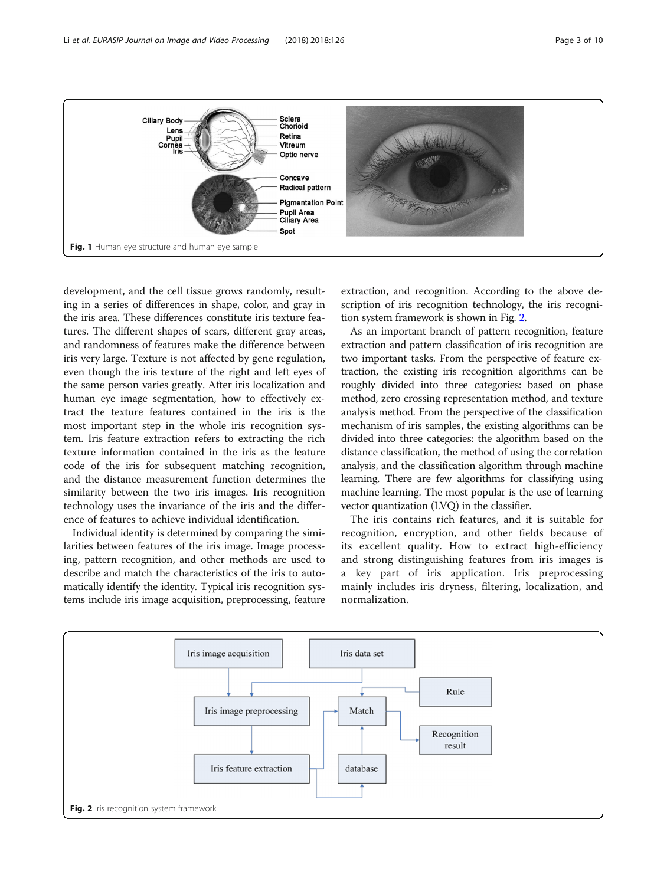<span id="page-2-0"></span>

development, and the cell tissue grows randomly, resulting in a series of differences in shape, color, and gray in the iris area. These differences constitute iris texture features. The different shapes of scars, different gray areas, and randomness of features make the difference between iris very large. Texture is not affected by gene regulation, even though the iris texture of the right and left eyes of the same person varies greatly. After iris localization and human eye image segmentation, how to effectively extract the texture features contained in the iris is the most important step in the whole iris recognition system. Iris feature extraction refers to extracting the rich texture information contained in the iris as the feature code of the iris for subsequent matching recognition, and the distance measurement function determines the similarity between the two iris images. Iris recognition technology uses the invariance of the iris and the difference of features to achieve individual identification.

Individual identity is determined by comparing the similarities between features of the iris image. Image processing, pattern recognition, and other methods are used to describe and match the characteristics of the iris to automatically identify the identity. Typical iris recognition systems include iris image acquisition, preprocessing, feature

extraction, and recognition. According to the above description of iris recognition technology, the iris recognition system framework is shown in Fig. 2.

As an important branch of pattern recognition, feature extraction and pattern classification of iris recognition are two important tasks. From the perspective of feature extraction, the existing iris recognition algorithms can be roughly divided into three categories: based on phase method, zero crossing representation method, and texture analysis method. From the perspective of the classification mechanism of iris samples, the existing algorithms can be divided into three categories: the algorithm based on the distance classification, the method of using the correlation analysis, and the classification algorithm through machine learning. There are few algorithms for classifying using machine learning. The most popular is the use of learning vector quantization (LVQ) in the classifier.

The iris contains rich features, and it is suitable for recognition, encryption, and other fields because of its excellent quality. How to extract high-efficiency and strong distinguishing features from iris images is a key part of iris application. Iris preprocessing mainly includes iris dryness, filtering, localization, and normalization.

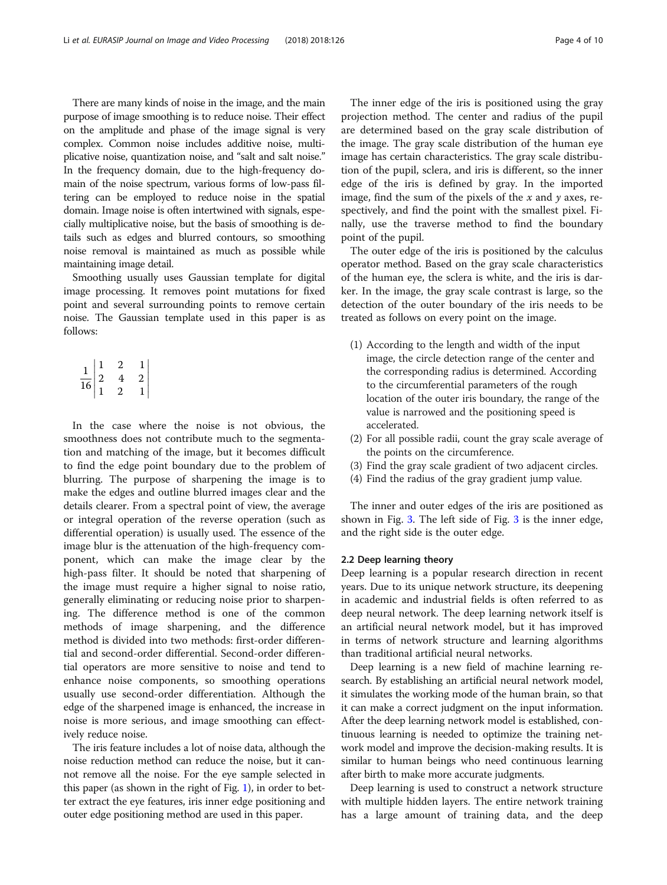There are many kinds of noise in the image, and the main purpose of image smoothing is to reduce noise. Their effect on the amplitude and phase of the image signal is very complex. Common noise includes additive noise, multiplicative noise, quantization noise, and "salt and salt noise." In the frequency domain, due to the high-frequency domain of the noise spectrum, various forms of low-pass filtering can be employed to reduce noise in the spatial domain. Image noise is often intertwined with signals, especially multiplicative noise, but the basis of smoothing is details such as edges and blurred contours, so smoothing noise removal is maintained as much as possible while maintaining image detail.

Smoothing usually uses Gaussian template for digital image processing. It removes point mutations for fixed point and several surrounding points to remove certain noise. The Gaussian template used in this paper is as follows:

$$
\frac{1}{16} \begin{vmatrix} 1 & 2 & 1 \\ 2 & 4 & 2 \\ 1 & 2 & 1 \end{vmatrix}
$$

In the case where the noise is not obvious, the smoothness does not contribute much to the segmentation and matching of the image, but it becomes difficult to find the edge point boundary due to the problem of blurring. The purpose of sharpening the image is to make the edges and outline blurred images clear and the details clearer. From a spectral point of view, the average or integral operation of the reverse operation (such as differential operation) is usually used. The essence of the image blur is the attenuation of the high-frequency component, which can make the image clear by the high-pass filter. It should be noted that sharpening of the image must require a higher signal to noise ratio, generally eliminating or reducing noise prior to sharpening. The difference method is one of the common methods of image sharpening, and the difference method is divided into two methods: first-order differential and second-order differential. Second-order differential operators are more sensitive to noise and tend to enhance noise components, so smoothing operations usually use second-order differentiation. Although the edge of the sharpened image is enhanced, the increase in noise is more serious, and image smoothing can effectively reduce noise.

The iris feature includes a lot of noise data, although the noise reduction method can reduce the noise, but it cannot remove all the noise. For the eye sample selected in this paper (as shown in the right of Fig. [1](#page-2-0)), in order to better extract the eye features, iris inner edge positioning and outer edge positioning method are used in this paper.

The inner edge of the iris is positioned using the gray projection method. The center and radius of the pupil are determined based on the gray scale distribution of the image. The gray scale distribution of the human eye image has certain characteristics. The gray scale distribution of the pupil, sclera, and iris is different, so the inner edge of the iris is defined by gray. In the imported image, find the sum of the pixels of the x and y axes, respectively, and find the point with the smallest pixel. Finally, use the traverse method to find the boundary point of the pupil.

The outer edge of the iris is positioned by the calculus operator method. Based on the gray scale characteristics of the human eye, the sclera is white, and the iris is darker. In the image, the gray scale contrast is large, so the detection of the outer boundary of the iris needs to be treated as follows on every point on the image.

- (1) According to the length and width of the input image, the circle detection range of the center and the corresponding radius is determined. According to the circumferential parameters of the rough location of the outer iris boundary, the range of the value is narrowed and the positioning speed is accelerated.
- (2) For all possible radii, count the gray scale average of the points on the circumference.
- (3) Find the gray scale gradient of two adjacent circles.
- (4) Find the radius of the gray gradient jump value.

The inner and outer edges of the iris are positioned as shown in Fig. [3.](#page-4-0) The left side of Fig. [3](#page-4-0) is the inner edge, and the right side is the outer edge.

#### 2.2 Deep learning theory

Deep learning is a popular research direction in recent years. Due to its unique network structure, its deepening in academic and industrial fields is often referred to as deep neural network. The deep learning network itself is an artificial neural network model, but it has improved in terms of network structure and learning algorithms than traditional artificial neural networks.

Deep learning is a new field of machine learning research. By establishing an artificial neural network model, it simulates the working mode of the human brain, so that it can make a correct judgment on the input information. After the deep learning network model is established, continuous learning is needed to optimize the training network model and improve the decision-making results. It is similar to human beings who need continuous learning after birth to make more accurate judgments.

Deep learning is used to construct a network structure with multiple hidden layers. The entire network training has a large amount of training data, and the deep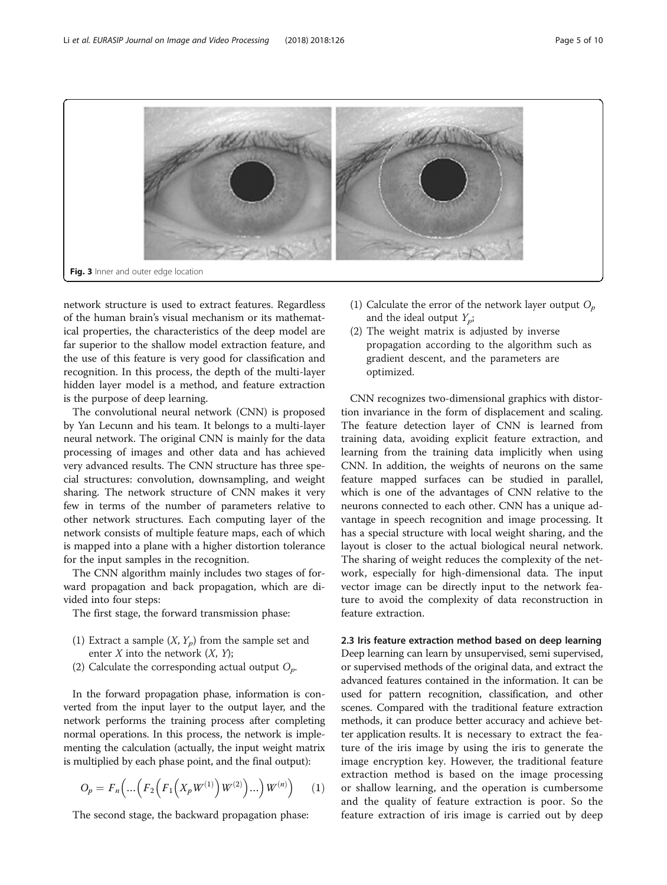<span id="page-4-0"></span>

network structure is used to extract features. Regardless of the human brain's visual mechanism or its mathematical properties, the characteristics of the deep model are far superior to the shallow model extraction feature, and the use of this feature is very good for classification and recognition. In this process, the depth of the multi-layer hidden layer model is a method, and feature extraction is the purpose of deep learning.

The convolutional neural network (CNN) is proposed by Yan Lecunn and his team. It belongs to a multi-layer neural network. The original CNN is mainly for the data processing of images and other data and has achieved very advanced results. The CNN structure has three special structures: convolution, downsampling, and weight sharing. The network structure of CNN makes it very few in terms of the number of parameters relative to other network structures. Each computing layer of the network consists of multiple feature maps, each of which is mapped into a plane with a higher distortion tolerance for the input samples in the recognition.

The CNN algorithm mainly includes two stages of forward propagation and back propagation, which are divided into four steps:

The first stage, the forward transmission phase:

- (1) Extract a sample  $(X, Y_p)$  from the sample set and enter  $X$  into the network  $(X, Y)$ ;
- (2) Calculate the corresponding actual output  $O_p$ .

In the forward propagation phase, information is converted from the input layer to the output layer, and the network performs the training process after completing normal operations. In this process, the network is implementing the calculation (actually, the input weight matrix is multiplied by each phase point, and the final output):

$$
O_p = F_n\left(\dots\left(F_2\left(F_1\left(X_p W^{(1)}\right) W^{(2)}\right)\dots\right) W^{(n)}\right) \tag{1}
$$

The second stage, the backward propagation phase:

- (1) Calculate the error of the network layer output  $O_p$ and the ideal output  $Y_{ni}$
- (2) The weight matrix is adjusted by inverse propagation according to the algorithm such as gradient descent, and the parameters are optimized.

CNN recognizes two-dimensional graphics with distortion invariance in the form of displacement and scaling. The feature detection layer of CNN is learned from training data, avoiding explicit feature extraction, and learning from the training data implicitly when using CNN. In addition, the weights of neurons on the same feature mapped surfaces can be studied in parallel, which is one of the advantages of CNN relative to the neurons connected to each other. CNN has a unique advantage in speech recognition and image processing. It has a special structure with local weight sharing, and the layout is closer to the actual biological neural network. The sharing of weight reduces the complexity of the network, especially for high-dimensional data. The input vector image can be directly input to the network feature to avoid the complexity of data reconstruction in feature extraction.

## 2.3 Iris feature extraction method based on deep learning

Deep learning can learn by unsupervised, semi supervised, or supervised methods of the original data, and extract the advanced features contained in the information. It can be used for pattern recognition, classification, and other scenes. Compared with the traditional feature extraction methods, it can produce better accuracy and achieve better application results. It is necessary to extract the feature of the iris image by using the iris to generate the image encryption key. However, the traditional feature extraction method is based on the image processing or shallow learning, and the operation is cumbersome and the quality of feature extraction is poor. So the feature extraction of iris image is carried out by deep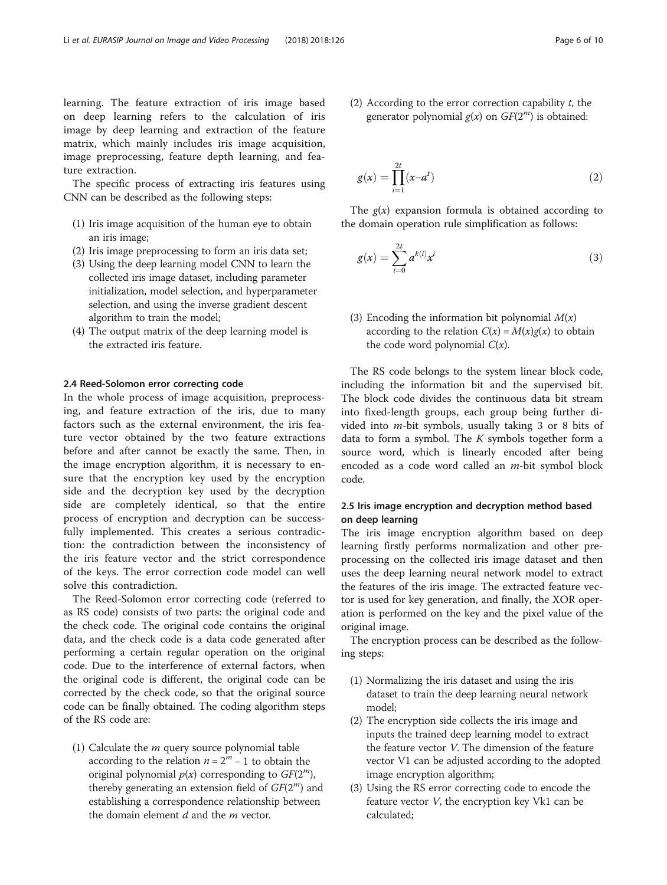learning. The feature extraction of iris image based on deep learning refers to the calculation of iris image by deep learning and extraction of the feature matrix, which mainly includes iris image acquisition, image preprocessing, feature depth learning, and feature extraction.

The specific process of extracting iris features using CNN can be described as the following steps:

- (1) Iris image acquisition of the human eye to obtain an iris image;
- (2) Iris image preprocessing to form an iris data set;
- (3) Using the deep learning model CNN to learn the collected iris image dataset, including parameter initialization, model selection, and hyperparameter selection, and using the inverse gradient descent algorithm to train the model;
- (4) The output matrix of the deep learning model is the extracted iris feature.

## 2.4 Reed-Solomon error correcting code

In the whole process of image acquisition, preprocessing, and feature extraction of the iris, due to many factors such as the external environment, the iris feature vector obtained by the two feature extractions before and after cannot be exactly the same. Then, in the image encryption algorithm, it is necessary to ensure that the encryption key used by the encryption side and the decryption key used by the decryption side are completely identical, so that the entire process of encryption and decryption can be successfully implemented. This creates a serious contradiction: the contradiction between the inconsistency of the iris feature vector and the strict correspondence of the keys. The error correction code model can well solve this contradiction.

The Reed-Solomon error correcting code (referred to as RS code) consists of two parts: the original code and the check code. The original code contains the original data, and the check code is a data code generated after performing a certain regular operation on the original code. Due to the interference of external factors, when the original code is different, the original code can be corrected by the check code, so that the original source code can be finally obtained. The coding algorithm steps of the RS code are:

(1) Calculate the  $m$  query source polynomial table according to the relation  $n = 2<sup>m</sup> - 1$  to obtain the original polynomial  $p(x)$  corresponding to  $GF(2<sup>m</sup>)$ , thereby generating an extension field of  $GF(2<sup>m</sup>)$  and establishing a correspondence relationship between the domain element  $d$  and the  $m$  vector.

(2) According to the error correction capability  $t$ , the generator polynomial  $g(x)$  on  $GF(2<sup>m</sup>)$  is obtained:

$$
g(x) = \prod_{i=1}^{2t} (x - a^t)
$$
 (2)

The  $g(x)$  expansion formula is obtained according to the domain operation rule simplification as follows:

$$
g(x) = \sum_{i=0}^{2t} a^{k(i)} x^{i}
$$
 (3)

(3) Encoding the information bit polynomial  $M(x)$ according to the relation  $C(x) = M(x)g(x)$  to obtain the code word polynomial  $C(x)$ .

The RS code belongs to the system linear block code, including the information bit and the supervised bit. The block code divides the continuous data bit stream into fixed-length groups, each group being further divided into m-bit symbols, usually taking 3 or 8 bits of data to form a symbol. The  $K$  symbols together form a source word, which is linearly encoded after being encoded as a code word called an  $m$ -bit symbol block code.

# 2.5 Iris image encryption and decryption method based on deep learning

The iris image encryption algorithm based on deep learning firstly performs normalization and other preprocessing on the collected iris image dataset and then uses the deep learning neural network model to extract the features of the iris image. The extracted feature vector is used for key generation, and finally, the XOR operation is performed on the key and the pixel value of the original image.

The encryption process can be described as the following steps:

- (1) Normalizing the iris dataset and using the iris dataset to train the deep learning neural network model;
- (2) The encryption side collects the iris image and inputs the trained deep learning model to extract the feature vector V. The dimension of the feature vector V1 can be adjusted according to the adopted image encryption algorithm;
- (3) Using the RS error correcting code to encode the feature vector V, the encryption key Vk1 can be calculated;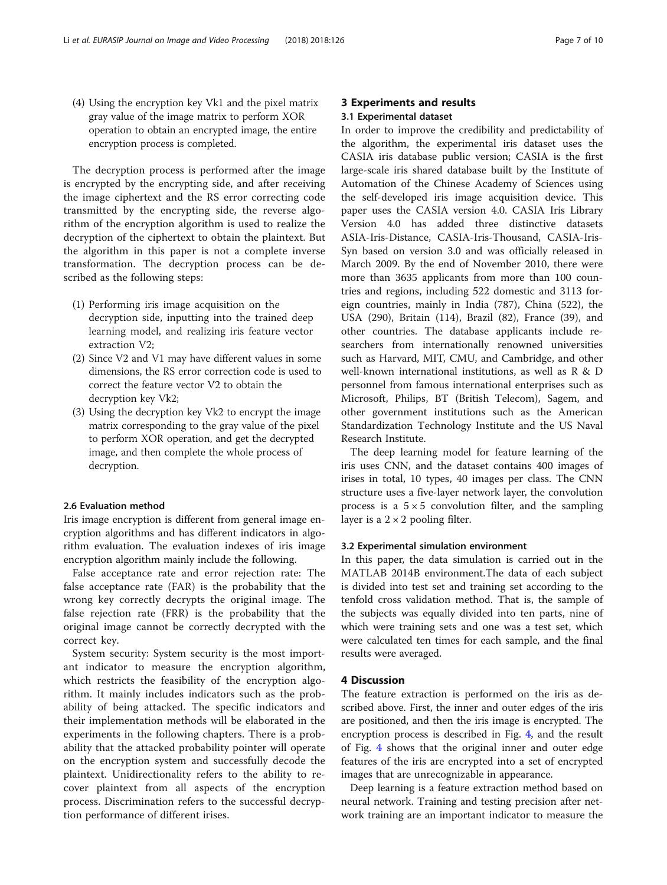(4) Using the encryption key Vk1 and the pixel matrix gray value of the image matrix to perform XOR operation to obtain an encrypted image, the entire encryption process is completed.

The decryption process is performed after the image is encrypted by the encrypting side, and after receiving the image ciphertext and the RS error correcting code transmitted by the encrypting side, the reverse algorithm of the encryption algorithm is used to realize the decryption of the ciphertext to obtain the plaintext. But the algorithm in this paper is not a complete inverse transformation. The decryption process can be described as the following steps:

- (1) Performing iris image acquisition on the decryption side, inputting into the trained deep learning model, and realizing iris feature vector extraction V2;
- (2) Since V2 and V1 may have different values in some dimensions, the RS error correction code is used to correct the feature vector V2 to obtain the decryption key Vk2;
- (3) Using the decryption key Vk2 to encrypt the image matrix corresponding to the gray value of the pixel to perform XOR operation, and get the decrypted image, and then complete the whole process of decryption.

# 2.6 Evaluation method

Iris image encryption is different from general image encryption algorithms and has different indicators in algorithm evaluation. The evaluation indexes of iris image encryption algorithm mainly include the following.

False acceptance rate and error rejection rate: The false acceptance rate (FAR) is the probability that the wrong key correctly decrypts the original image. The false rejection rate (FRR) is the probability that the original image cannot be correctly decrypted with the correct key.

System security: System security is the most important indicator to measure the encryption algorithm, which restricts the feasibility of the encryption algorithm. It mainly includes indicators such as the probability of being attacked. The specific indicators and their implementation methods will be elaborated in the experiments in the following chapters. There is a probability that the attacked probability pointer will operate on the encryption system and successfully decode the plaintext. Unidirectionality refers to the ability to recover plaintext from all aspects of the encryption process. Discrimination refers to the successful decryption performance of different irises.

# 3 Experiments and results 3.1 Experimental dataset

In order to improve the credibility and predictability of the algorithm, the experimental iris dataset uses the CASIA iris database public version; CASIA is the first large-scale iris shared database built by the Institute of Automation of the Chinese Academy of Sciences using the self-developed iris image acquisition device. This paper uses the CASIA version 4.0. CASIA Iris Library Version 4.0 has added three distinctive datasets ASIA-Iris-Distance, CASIA-Iris-Thousand, CASIA-Iris-Syn based on version 3.0 and was officially released in March 2009. By the end of November 2010, there were more than 3635 applicants from more than 100 countries and regions, including 522 domestic and 3113 foreign countries, mainly in India (787), China (522), the USA (290), Britain (114), Brazil (82), France (39), and other countries. The database applicants include researchers from internationally renowned universities such as Harvard, MIT, CMU, and Cambridge, and other well-known international institutions, as well as R & D personnel from famous international enterprises such as Microsoft, Philips, BT (British Telecom), Sagem, and other government institutions such as the American Standardization Technology Institute and the US Naval Research Institute.

The deep learning model for feature learning of the iris uses CNN, and the dataset contains 400 images of irises in total, 10 types, 40 images per class. The CNN structure uses a five-layer network layer, the convolution process is a  $5 \times 5$  convolution filter, and the sampling layer is a  $2 \times 2$  pooling filter.

#### 3.2 Experimental simulation environment

In this paper, the data simulation is carried out in the MATLAB 2014B environment.The data of each subject is divided into test set and training set according to the tenfold cross validation method. That is, the sample of the subjects was equally divided into ten parts, nine of which were training sets and one was a test set, which were calculated ten times for each sample, and the final results were averaged.

# 4 Discussion

The feature extraction is performed on the iris as described above. First, the inner and outer edges of the iris are positioned, and then the iris image is encrypted. The encryption process is described in Fig. [4](#page-7-0), and the result of Fig. [4](#page-7-0) shows that the original inner and outer edge features of the iris are encrypted into a set of encrypted images that are unrecognizable in appearance.

Deep learning is a feature extraction method based on neural network. Training and testing precision after network training are an important indicator to measure the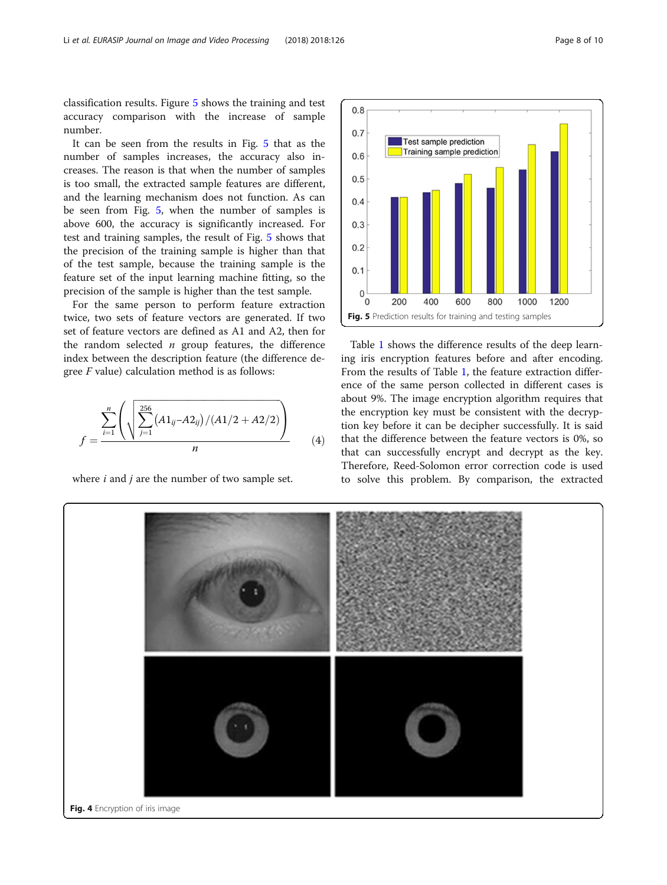<span id="page-7-0"></span>classification results. Figure 5 shows the training and test accuracy comparison with the increase of sample number.

It can be seen from the results in Fig. 5 that as the number of samples increases, the accuracy also increases. The reason is that when the number of samples is too small, the extracted sample features are different, and the learning mechanism does not function. As can be seen from Fig. 5, when the number of samples is above 600, the accuracy is significantly increased. For test and training samples, the result of Fig. 5 shows that the precision of the training sample is higher than that of the test sample, because the training sample is the feature set of the input learning machine fitting, so the precision of the sample is higher than the test sample.

For the same person to perform feature extraction twice, two sets of feature vectors are generated. If two set of feature vectors are defined as A1 and A2, then for the random selected  $n$  group features, the difference index between the description feature (the difference degree  $F$  value) calculation method is as follows:

$$
f = \frac{\sum_{i=1}^{n} \left( \sqrt{\sum_{j=1}^{256} (A1_{ij} - A2_{ij})/(A1/2 + A2/2)} \right)}{n}
$$
(4)

where  $i$  and  $j$  are the number of two sample set.



Table [1](#page-8-0) shows the difference results of the deep learning iris encryption features before and after encoding. From the results of Table [1,](#page-8-0) the feature extraction difference of the same person collected in different cases is about 9%. The image encryption algorithm requires that the encryption key must be consistent with the decryption key before it can be decipher successfully. It is said that the difference between the feature vectors is 0%, so that can successfully encrypt and decrypt as the key. Therefore, Reed-Solomon error correction code is used to solve this problem. By comparison, the extracted

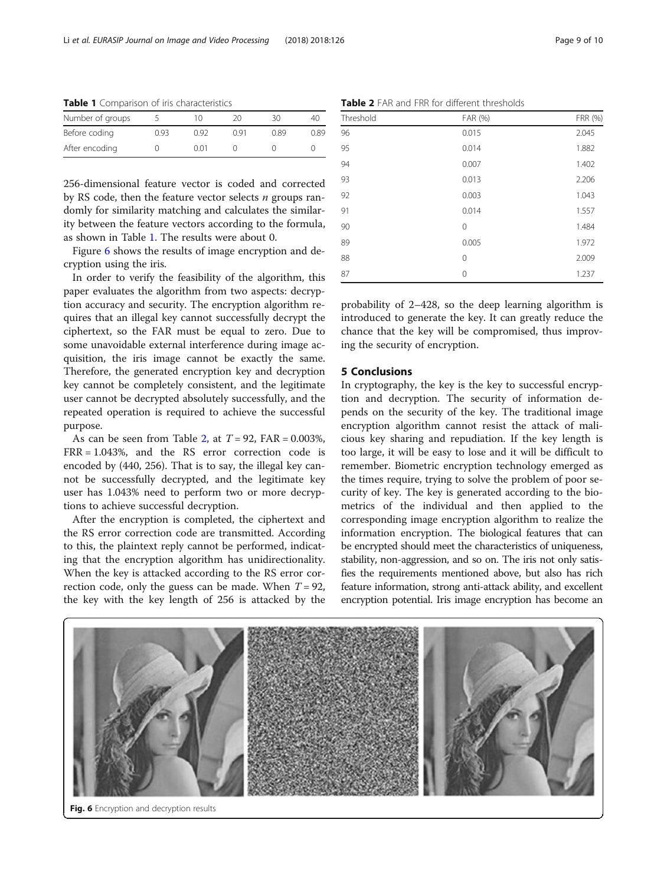<span id="page-8-0"></span>Table 1 Comparison of iris characteristics

| Number of groups |      | 10   | 20   | 30   | 40   |
|------------------|------|------|------|------|------|
| Before coding    | 0.93 | 092  | O 91 | 0.89 | 0.89 |
| After encoding   |      | 0.01 |      |      |      |

256-dimensional feature vector is coded and corrected by RS code, then the feature vector selects  $n$  groups randomly for similarity matching and calculates the similarity between the feature vectors according to the formula, as shown in Table 1. The results were about 0.

Figure 6 shows the results of image encryption and decryption using the iris.

In order to verify the feasibility of the algorithm, this paper evaluates the algorithm from two aspects: decryption accuracy and security. The encryption algorithm requires that an illegal key cannot successfully decrypt the ciphertext, so the FAR must be equal to zero. Due to some unavoidable external interference during image acquisition, the iris image cannot be exactly the same. Therefore, the generated encryption key and decryption key cannot be completely consistent, and the legitimate user cannot be decrypted absolutely successfully, and the repeated operation is required to achieve the successful purpose.

As can be seen from Table 2, at  $T = 92$ , FAR = 0.003%, FRR = 1.043%, and the RS error correction code is encoded by (440, 256). That is to say, the illegal key cannot be successfully decrypted, and the legitimate key user has 1.043% need to perform two or more decryptions to achieve successful decryption.

After the encryption is completed, the ciphertext and the RS error correction code are transmitted. According to this, the plaintext reply cannot be performed, indicating that the encryption algorithm has unidirectionality. When the key is attacked according to the RS error correction code, only the guess can be made. When  $T = 92$ , the key with the key length of 256 is attacked by the

Table 2 FAR and FRR for different thresholds

| Threshold | FAR (%)  | FRR (%) |
|-----------|----------|---------|
| 96        | 0.015    | 2.045   |
| 95        | 0.014    | 1.882   |
| 94        | 0.007    | 1.402   |
| 93        | 0.013    | 2.206   |
| 92        | 0.003    | 1.043   |
| 91        | 0.014    | 1.557   |
| 90        | $\Omega$ | 1.484   |
| 89        | 0.005    | 1.972   |
| 88        | $\Omega$ | 2.009   |
| 87        | $\Omega$ | 1.237   |

probability of 2–428, so the deep learning algorithm is introduced to generate the key. It can greatly reduce the chance that the key will be compromised, thus improving the security of encryption.

## 5 Conclusions

In cryptography, the key is the key to successful encryption and decryption. The security of information depends on the security of the key. The traditional image encryption algorithm cannot resist the attack of malicious key sharing and repudiation. If the key length is too large, it will be easy to lose and it will be difficult to remember. Biometric encryption technology emerged as the times require, trying to solve the problem of poor security of key. The key is generated according to the biometrics of the individual and then applied to the corresponding image encryption algorithm to realize the information encryption. The biological features that can be encrypted should meet the characteristics of uniqueness, stability, non-aggression, and so on. The iris not only satisfies the requirements mentioned above, but also has rich feature information, strong anti-attack ability, and excellent encryption potential. Iris image encryption has become an



Fig. 6 Encryption and decryption results